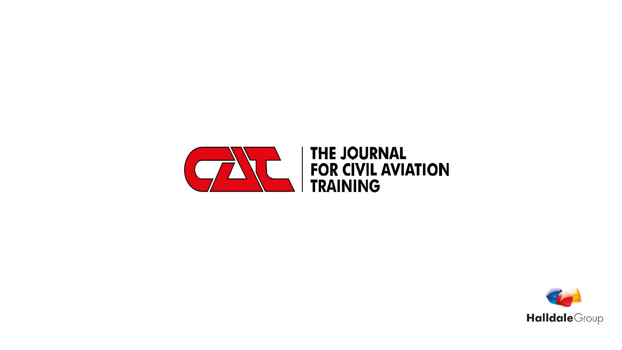

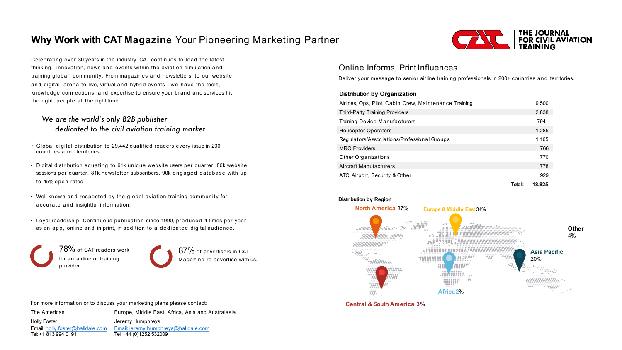### **Why Work with CAT Magazine** Your Pioneering Marketing Partner

Celebrating over 30 years in the industry, CAT continues to lead the latest thinking, innovation, news and events within the aviation simulation and training global community. From magazines and newsletters, to our website and digital arena to live, virtual and hybrid events – we have the tools, knowledge,connections, and expertise to ensure your brand and services hit the right people at the right time.

### *We are the world's only B2B publisher dedicated to the civil aviation training market.*

- Global digital distribution to 29,442 qualified readers every issue in 200 countries and territories.
- Digital [distribution](mailto:holly.foster@halldale.com) equating to 61k unique [website](mailto:jeremy.humphreys@halldale.com) users per quarter, 86k website sessions per quarter, 81k newsletter subscribers, 90k engaged database with up to 45% open rates
- Well known and respected by the global aviation training community for accurate and insightful information.
- Loyal readership: Continuous publication since 1990, produced 4 times per year as an app, online and in print, in addition to a dedicated digital audience.

78% of CAT readers work for an airline or training provider.



87% of advertisers in CAT Magazine re-advertise with us.

For more information or to discuss your marketing plans please contact:

Tel: +1 813 994 0191 Tel: +44 (0)1252 532009

The Americas Europe, Middle East, Africa, Asia and Australasia Holly Foster **Mateurs** Jeremy Humphreys Email: holly.foster@halldale.com Email: jeremy.humphreys@halldale.com

### Online Informs,

Deliver your message

#### **Distribution by Organ**

Airlines, Ops, Pilot, Cab Third-Party Training Prov Training Device Manufa Helicopter Operators Regulators/Association MRO Providers Other Organizations **Aircraft Manufacturers** ATC, Airport, Security &

**Distribution by Region North America** 



**Central & South Ar**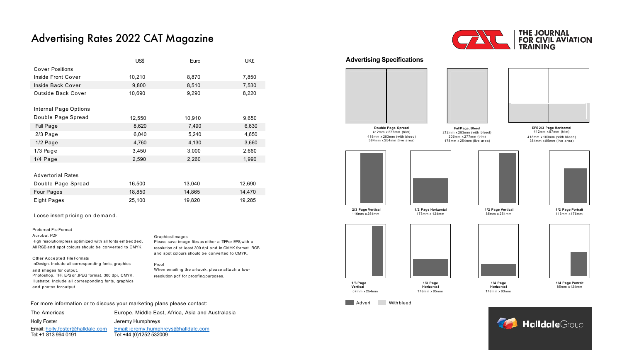## Advertising Rates 2022 CAT Magazine

|                           | US\$   | Euro   | <b>UK£</b> |
|---------------------------|--------|--------|------------|
| <b>Cover Positions</b>    |        |        |            |
| Inside Front Cover        | 10,210 | 8,870  | 7,850      |
| Inside Back Cover         | 9,800  | 8,510  | 7,530      |
| <b>Outside Back Cover</b> | 10,690 | 9,290  | 8,220      |
| Internal Page Options     |        |        |            |
| Double Page Spread        | 12,550 | 10,910 | 9,650      |
| Full Page                 | 8,620  | 7,490  | 6,630      |
| $2/3$ Page                | 6,040  | 5,240  | 4,650      |
| 1/2 Page                  | 4,760  | 4,130  | 3,660      |
| $1/3$ Page                | 3,450  | 3,000  | 2,660      |
| $1/4$ Page                | 2,590  | 2,260  | 1,990      |
|                           |        |        |            |
| <b>Advertorial Rates</b>  |        |        |            |
| Double Page Spread        | 16,500 | 13,040 | 12,690     |
| Four Pages                | 18,850 | 14,865 | 14,470     |
| Eight Pages               | 25,100 | 19,820 | 19,285     |

Loose insert pricing on demand.

Preferred File Format Acrobat PDF High resolution/press optimized with all fonts embedded. All RGB and spot colours should be converted to CMYK. Other Accepted File Formats InDesign. Include all corresponding fonts, graphics and images for output. Photoshop. TIFF, EPS or JPEG format, 300 dpi, CMYK. Illustrator. Include all corresponding fonts, graphics and photos for output. Graphics/Images Please save image files as either a TIFF or EPS, with a resolution of at least 300 dpi and in CMYK format. RGB and spot colours should be converted to CMYK. Proof When emailing the artwork, please attach a lowresolution pdf for proofing purposes.

For more information or to discuss your marketing plans please contact:

| The Americas                 |
|------------------------------|
| <b>Holly Foster</b>          |
| Email: holly.foster@halldale |
| Tel: +1 813 994 0191         |

Europe, Middle East, Africa, Asia and Australasia Jeremy Humphreys .com Email: jeremy.humphreys@halldale.com Tel: +44 (0)1252 532009

#### **Advertising Spec**



**Double Page**<br>412mm x 277m 418mm x 283mm (<br>384mm x 254mm



**2/3 Page Vertical** 116mm x 254mm



57mm x 254mm

**Advert** With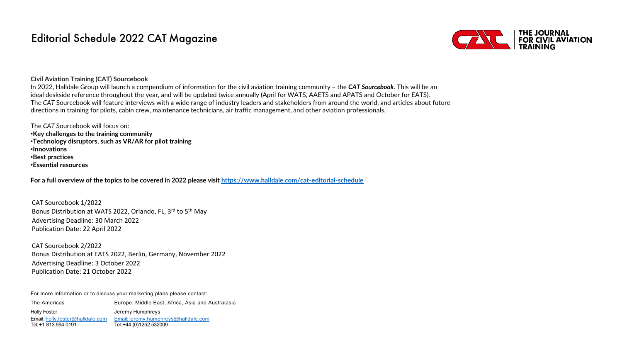# Editorial Schedule 2022 CAT Magazine

#### **Civil Aviation Training (CAT) Sourcebook**

In 2022, Halldale Group will launch a compendium of information for the civil aviation training community - the CAT Sourcebook. ideal deskside reference throughout the year, and will be updated twice annually (April for WATS, AAETS and APATS and Octobe The CAT Sourcebook will feature interviews with a wide range of industry leaders and stakeholders from around the world, and a directions in training for pilots, cabin crew, maintenance technicians, air traffic management, and other aviation professionals.

The *CAT* Sourcebook will focus on:

- •**Key challenges to the training community**
- •**Technology disruptors, such as VR/AR for pilot training**
- •**Innovations**
- •**Bes[t practices](mailto:holly.foster@halldale.com)**
- •**Essential resources**

**For a full overview of the topics to be covered in 2022 please visit https://www.halldale.com/cat-editorial-schedule**

CAT Sourcebook 1/2022 Bonus Distribution at WATS 2022, Orlando, FL, 3rd to 5th May Advertising Deadline: 30 March 2022 Publication Date: 22 April 2022

CAT Sourcebook 2/2022 Bonus Distribution at EATS 2022, Berlin, Germany, November 2022 Advertising Deadline: 3 October 2022 Publication Date: 21 October 2022

For more information or to discuss your marketing plans please contact:

The Americas Europe, Middle East, Africa, Asia and Australasia Holly Foster **Holly Foster Jeremy Humphreys** Email: holly.foster@halldale.com Email: jeremy.humphreys@halldale.com<br>Tel: +1 813 994 0191 Tel: +44 (0)1252 532009 Tel: +44 (0)1252 532009